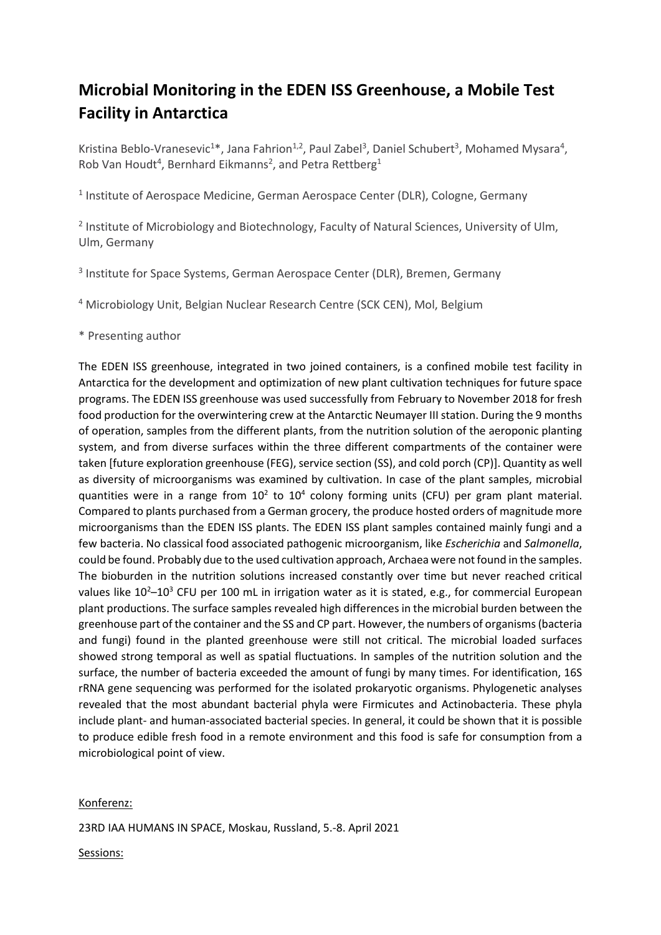## **Microbial Monitoring in the EDEN ISS Greenhouse, a Mobile Test Facility in Antarctica**

Kristina Beblo-Vranesevic<sup>1\*</sup>, Jana Fahrion<sup>1,2</sup>, Paul Zabel<sup>3</sup>, Daniel Schubert<sup>3</sup>, Mohamed Mysara<sup>4</sup>, Rob Van Houdt<sup>4</sup>, Bernhard Eikmanns<sup>2</sup>, and Petra Rettberg<sup>1</sup>

<sup>1</sup> Institute of Aerospace Medicine, German Aerospace Center (DLR), Cologne, Germany

<sup>2</sup> Institute of Microbiology and Biotechnology, Faculty of Natural Sciences, University of Ulm, Ulm, Germany

<sup>3</sup> Institute for Space Systems, German Aerospace Center (DLR), Bremen, Germany

<sup>4</sup> Microbiology Unit, Belgian Nuclear Research Centre (SCK CEN), Mol, Belgium

\* Presenting author

The EDEN ISS greenhouse, integrated in two joined containers, is a confined mobile test facility in Antarctica for the development and optimization of new plant cultivation techniques for future space programs. The EDEN ISS greenhouse was used successfully from February to November 2018 for fresh food production for the overwintering crew at the Antarctic Neumayer III station. During the 9 months of operation, samples from the different plants, from the nutrition solution of the aeroponic planting system, and from diverse surfaces within the three different compartments of the container were taken [future exploration greenhouse (FEG), service section (SS), and cold porch (CP)]. Quantity as well as diversity of microorganisms was examined by cultivation. In case of the plant samples, microbial quantities were in a range from  $10^2$  to  $10^4$  colony forming units (CFU) per gram plant material. Compared to plants purchased from a German grocery, the produce hosted orders of magnitude more microorganisms than the EDEN ISS plants. The EDEN ISS plant samples contained mainly fungi and a few bacteria. No classical food associated pathogenic microorganism, like *Escherichia* and *Salmonella*, could be found. Probably due to the used cultivation approach, Archaea were not found in the samples. The bioburden in the nutrition solutions increased constantly over time but never reached critical values like 10<sup>2</sup>–10<sup>3</sup> CFU per 100 mL in irrigation water as it is stated, e.g., for commercial European plant productions. The surface samples revealed high differences in the microbial burden between the greenhouse part of the container and the SS and CP part. However, the numbers of organisms (bacteria and fungi) found in the planted greenhouse were still not critical. The microbial loaded surfaces showed strong temporal as well as spatial fluctuations. In samples of the nutrition solution and the surface, the number of bacteria exceeded the amount of fungi by many times. For identification, 16S rRNA gene sequencing was performed for the isolated prokaryotic organisms. Phylogenetic analyses revealed that the most abundant bacterial phyla were Firmicutes and Actinobacteria. These phyla include plant- and human-associated bacterial species. In general, it could be shown that it is possible to produce edible fresh food in a remote environment and this food is safe for consumption from a microbiological point of view.

## Konferenz:

23RD IAA HUMANS IN SPACE, Moskau, Russland, 5.-8. April 2021

Sessions: